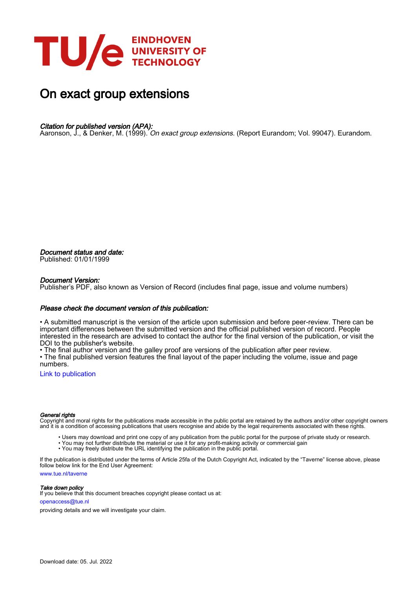

# On exact group extensions

# Citation for published version (APA):

Aaronson, J., & Denker, M. (1999). On exact group extensions. (Report Eurandom; Vol. 99047). Eurandom.

Document status and date: Published: 01/01/1999

#### Document Version:

Publisher's PDF, also known as Version of Record (includes final page, issue and volume numbers)

#### Please check the document version of this publication:

• A submitted manuscript is the version of the article upon submission and before peer-review. There can be important differences between the submitted version and the official published version of record. People interested in the research are advised to contact the author for the final version of the publication, or visit the DOI to the publisher's website.

• The final author version and the galley proof are versions of the publication after peer review.

• The final published version features the final layout of the paper including the volume, issue and page numbers.

[Link to publication](https://research.tue.nl/en/publications/115b270a-dd59-49df-b5c3-29910b10fd0e)

#### General rights

Copyright and moral rights for the publications made accessible in the public portal are retained by the authors and/or other copyright owners and it is a condition of accessing publications that users recognise and abide by the legal requirements associated with these rights.

- Users may download and print one copy of any publication from the public portal for the purpose of private study or research.
- You may not further distribute the material or use it for any profit-making activity or commercial gain
- You may freely distribute the URL identifying the publication in the public portal.

If the publication is distributed under the terms of Article 25fa of the Dutch Copyright Act, indicated by the "Taverne" license above, please follow below link for the End User Agreement:

www.tue.nl/taverne

**Take down policy**<br>If you believe that this document breaches copyright please contact us at:

openaccess@tue.nl

providing details and we will investigate your claim.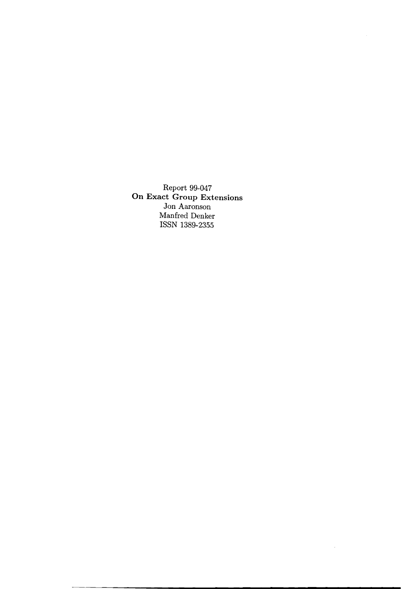Report 99-047 **On Exact Group Extensions** Jon Aaronson Manfred Denker ISSN 1389-2355

 $\sim$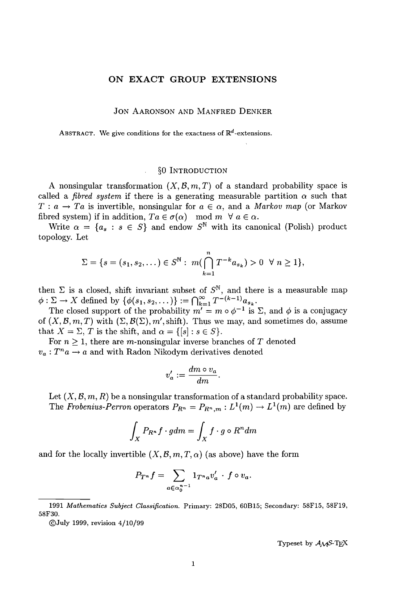#### **ON EXACT GROUP EXTENSIONS**

#### JON AARONSON AND MANFRED DENKER

ABSTRACT. We give conditions for the exactness of  $\mathbb{R}^d$ -extensions.

#### §O INTRODUCTION

A nonsingular transformation  $(X, \mathcal{B}, m, T)$  of a standard probability space is called a *fibred system* if there is a generating measurable partition  $\alpha$  such that  $T: a \rightarrow Ta$  is invertible, nonsingular for  $a \in \alpha$ , and a *Markov* map (or Markov fibred system) if in addition,  $Ta \in \sigma(\alpha) \mod m \: \forall \: a \in \alpha$ .

Write  $\alpha = \{a_s : s \in S\}$  and endow  $S^{\mathbb{N}}$  with its canonical (Polish) product topology. Let

$$
\Sigma = \{s = (s_1, s_2, \dots) \in S^{\mathbb{N}} : m(\bigcap_{k=1}^{n} T^{-k} a_{s_k}) > 0 \ \forall n \geq 1\},\
$$

then  $\Sigma$  is a closed, shift invariant subset of  $S^{\mathbb{N}}$ , and there is a measurable map  $\phi: \Sigma \to X$  defined by  $\{\phi(s_1, s_2, \dots)\} := \bigcap_{k=1}^{\infty} T^{-(k-1)} a_{s_k}$ 

The closed support of the probability  $m' = m \circ \phi^{-1}$  is  $\Sigma$ , and  $\phi$  is a conjugacy of  $(X,\mathcal{B},m,T)$  with  $(\Sigma,\mathcal{B}(\Sigma),m',\text{shift})$ . Thus we may, and sometimes do, assume that  $X = \Sigma$ , *T* is the shift, and  $\alpha = \{ [s] : s \in S \}.$ 

For  $n \geq 1$ , there are m-nonsingular inverse branches of T denoted  $v_a: T^n a \rightarrow a$  and with Radon Nikodym derivatives denoted

$$
v'_a := \frac{dm \circ v_a}{dm}.
$$

Let  $(X, \mathcal{B}, m, R)$  be a nonsingular transformation of a standard probability space. The *Frobenius-Perron* operators  $P_{R^n} = P_{R^n,m}: L^1(m) \to L^1(m)$  are defined by

$$
\int_X P_{R^n} f \cdot g dm = \int_X f \cdot g \circ R^n dm
$$

and for the locally invertible  $(X, \mathcal{B}, m, T, \alpha)$  (as above) have the form

$$
P_{T^n}f = \sum_{a \in \alpha_0^{n-1}} 1_{T^n a} v'_a \cdot f \circ v_a.
$$

*<sup>1991</sup> Mathematics Subject Classification.* Primary: 28D05, 60B15; Secondary: 58F15, 58F19, 58F30.

<sup>©</sup>July 1999, revision 4/10/99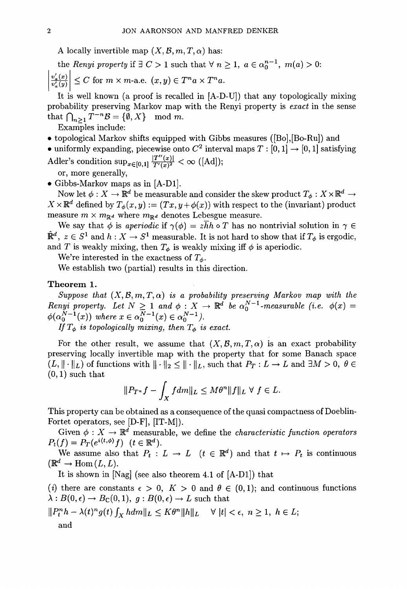A locally invertible map  $(X, \mathcal{B}, m, T, \alpha)$  has:

the *Renyi* property if  $\exists C > 1$  such that  $\forall n \geq 1$ ,  $a \in \alpha_0^{n-1}$ ,  $m(a) > 0$ :

$$
\left|\frac{v_a'(x)}{v_a'(y)}\right| \le C \text{ for } m \times m \text{-a.e. } (x, y) \in T^n a \times T^n a.
$$

It is well known (a proof is recalled in [A-D-U]) that any topologically mixing probability preserving Markov map with the Renyi property is *exact* in the sense that  $\bigcap_{n>1} T^{-n} \mathcal{B} = \{ \emptyset, X \} \mod m$ .

Examples include:

- topological Markov shifts equipped with Gibbs measures ([Bo],[Bo-Ru]) and
- uniformly expanding, piecewise onto  $C^2$  interval maps  $T : [0,1] \rightarrow [0,1]$  satisfying Adler's condition  $\sup_{x \in [0,1]} \frac{|T''(x)|}{T'(x)^2} < \infty$  ([Ad]);

or, more generally,

• Gibbs-Markov maps as in [A-D1].

Now let  $\phi: X \to \mathbb{R}^d$  be measurable and consider the skew product  $T_{\phi}: X \times \mathbb{R}^d \to$  $X \times \mathbb{R}^d$  defined by  $T_\phi(x, y) := (Tx, y + \phi(x))$  with respect to the (invariant) product measure  $m \times m_{\mathbb{R}^d}$  where  $m_{\mathbb{R}^d}$  denotes Lebesgue measure.

We say that  $\phi$  is *aperiodic* if  $\gamma(\phi) = z\overline{h}h \circ T$  has no nontrivial solution in  $\gamma \in$  $\mathbb{R}^d$ ,  $z \in S^1$  and  $h: X \to S^1$  measurable. It is not hard to show that if  $T_{\phi}$  is ergodic, and *T* is weakly mixing, then  $T_{\phi}$  is weakly mixing iff  $\phi$  is aperiodic.

We're interested in the exactness of  $T_{\phi}$ .

We establish two (partial) results in this direction.

### **Theorem 1.**

*Suppose that*  $(X, \mathcal{B}, m, T, \alpha)$  *is a probability preserving Markov map with the Renyi* property. Let  $N \geq 1$  and  $\phi: X \to \mathbb{R}^d$  be  $\alpha_0^{N-1}$ -measurable (i.e.  $\phi(x) =$  $\phi(\alpha_0^{N-1}(x))$  where  $x \in \alpha_0^{N-1}(x) \in \alpha_0^{N-1}$ .

*If*  $T_{\phi}$  *is topologically mixing, then*  $T_{\phi}$  *is exact.* 

For the other result, we assume that  $(X, \mathcal{B}, m, T, \alpha)$  is an exact probability preserving locally invertible map with the property that for some Banach space  $(L, \|\cdot\|_L)$  of functions with  $\|\cdot\|_2 \leq \|\cdot\|_L$ , such that  $P_T: L \to L$  and  $\exists M > 0, \ \theta \in$  $(0,1)$  such that

$$
||P_{T^n}f - \int_X f dm||_L \le M\theta^n ||f||_L \ \forall \ f \in L.
$$

This property can be obtained as a consequence of the quasi compactness of Doeblin-Fortet operators, see  $[D-F]$ ,  $[T-M]$ ).

Given  $\phi: X \to \mathbb{R}^d$  measurable, we define the *characteristic function operators*  $P_t(f) = P_T(e^{i\langle t,\phi\rangle}f)$   $(t \in \mathbb{R}^d)$ .

We assume also that  $P_t: L \to L \quad (t \in \mathbb{R}^d)$  and that  $t \mapsto P_t$  is continuous  $(\mathbb{R}^d \to \text{Hom}(L, L)).$ 

It is shown in [Nag] (see also theorem 4.1 of [A-Dl]) that

The shown in [Nag] (see also theorem 4.1 of [A-D1]) that<br>
(i) there are constants  $\epsilon > 0$ ,  $K > 0$  and  $\theta \in (0,1)$ ; and continuous functions  $\lambda: B(0, \epsilon) \to B_{\mathbb{C}}(0, 1), g: B(0, \epsilon) \to L$  such that

$$
||P_t^n h - \lambda(t)^n g(t) \int_X h dm||_L \leq K\theta^n ||h||_L \quad \forall \ |t| < \epsilon, \ n \geq 1, \ h \in L;
$$
 and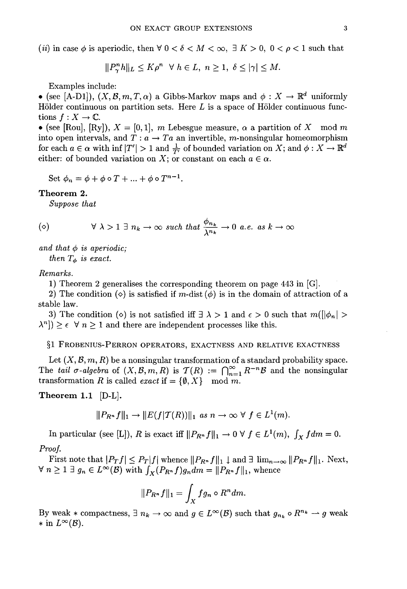(*ii*) in case  $\phi$  is aperiodic, then  $\forall$  0 <  $\delta$  < *M* <  $\infty$ ,  $\exists$  *K* > 0, 0 <  $\rho$  < 1 such that

$$
||P_{\gamma}^{n}h||_{L} \leq K\rho^{n} \quad \forall \ h \in L, \ n \geq 1, \ \delta \leq |\gamma| \leq M.
$$

Examples include:

• (see [A-D1]),  $(X, \mathcal{B}, m, T, \alpha)$  a Gibbs-Markov maps and  $\phi: X \to \mathbb{R}^d$  uniformly Hölder continuous on partition sets. Here  $L$  is a space of Hölder continuous functions  $f: X \to \mathbb{C}$ .

• (see [Rou], [Ry]),  $X = [0,1]$ , m Lebesgue measure,  $\alpha$  a partition of X mod m into open intervals, and  $T: a \rightarrow Ta$  an invertible, *m*-nonsingular homeomorphism for each  $a \in \alpha$  with inf  $|T'| > 1$  and  $\frac{1}{T'}$  of bounded variation on X; and  $\phi: X \to \mathbb{R}^d$ either: of bounded variation on X; or constant on each  $a \in \alpha$ .

Set  $\phi_n = \phi + \phi \circ T + \ldots + \phi \circ T^{n-1}$ .

#### Theorem 2.

*Suppose that*

$$
(\diamond)^\perp
$$

$$
(\diamond) \qquad \forall \lambda > 1 \exists n_k \to \infty \text{ such that } \frac{\phi_{n_k}}{\lambda^{n_k}} \to 0 \text{ a.e. as } k \to \infty
$$

and that  $\phi$  *is aperiodic; then*  $T_{\phi}$  *is exact.* 

# *Remarks.*

1) Theorem 2 generalises the corresponding theorem on page 443 in [G].

2) The condition ( $\diamond$ ) is satisfied if m-dist ( $\phi$ ) is in the domain of attraction of a stable law.

3) The condition ( $\diamond$ ) is not satisfied iff  $\exists \lambda > 1$  and  $\epsilon > 0$  such that  $m(||\phi_n| >$  $\lambda^n$ ])  $\geq \epsilon$   $\forall$  *n*  $\geq$  1 and there are independent processes like this.

# §1 FROBENIUS-PERRON OPERATORS, EXACTNESS AND RELATIVE EXACTNESS

Let  $(X, \mathcal{B}, m, R)$  be a nonsingular transformation of a standard probability space. The *tail*  $\sigma$ -algebra of  $(X, \mathcal{B}, m, R)$  is  $\mathcal{T}(R) := \bigcap_{n=1}^{\infty} R^{-n} \mathcal{B}$  and the nonsingular transformation *R* is called *exact* if  $= \{ \emptyset, X \}$  mod *m*.

Theorem 1.1 [D-L].

$$
||P_{R^n}f||_1 \to ||E(f|\mathcal{T}(R))||_1 \text{ as } n \to \infty \ \forall \ f \in L^1(m).
$$

In particular (see [L]), *R* is exact iff  $||P_{R^n}f||_1 \to 0 \ \forall \ f \in L^1(m)$ ,  $\int_X f dm = 0$ .

# *Proof.*

First note that  $|P_T f| \leq P_T |f|$  whence  $||P_{R^n} f||_1 \downarrow$  and  $\exists \lim_{n \to \infty} ||P_{R^n} f||_1$ . Next,  $\forall n \geq 1 \exists g_n \in L^{\infty}(\mathcal{B})$  with  $\int_X(P_{R^n}f)g_n dm = ||P_{R^n}f||_1$ , whence

$$
||P_{R^n}f||_1 = \int_X fg_n \circ R^n dm.
$$

By weak  $*$  compactness,  $\exists n_k \rightarrow \infty$  and  $g \in L^{\infty}(\mathcal{B})$  such that  $g_{n_k} \circ R^{n_k} \rightarrow g$  weak \* in  $L^{\infty}(\mathcal{B})$ .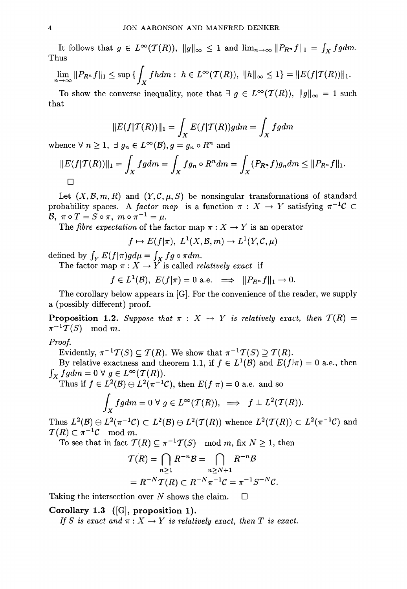It follows that  $g \in L^{\infty}(\mathcal{T}(R)), ||g||_{\infty} \leq 1$  and  $\lim_{n\to\infty} ||P_{R^n}f||_1 = \int_X fg dm$ . Thus

$$
\lim_{n \to \infty} ||P_{R^n} f||_1 \le \sup \{ \int_X f h dm : h \in L^{\infty}(\mathcal{T}(R)), ||h||_{\infty} \le 1 \} = ||E(f|\mathcal{T}(R))||_1.
$$

To show the converse inequality, note that  $\exists g \in L^{\infty}(\mathcal{T}(R))$ ,  $||g||_{\infty} = 1$  such that

$$
||E(f|\mathcal{T}(R))||_1 = \int_X E(f|\mathcal{T}(R))g dm = \int_X fg dm
$$
  
whence  $\forall n > 1, \exists a_n \in L^{\infty}(\mathcal{B}), a = a_n \circ R^n$  and

$$
||E(f|\mathcal{T}(R))||_1 = \int_X fg dm = \int_X fg_n \circ R^n dm = \int_X (P_{R^n}f)g_n dm \leq ||P_{R^n}f||_1.
$$

Let  $(X, \mathcal{B}, m, R)$  and  $(Y, \mathcal{C}, \mu, S)$  be nonsingular transformations of standard probability spaces. A *factor map* is a function  $\pi : X \to Y$  satisfying  $\pi^{-1}C \subset Y$  $\mathcal{B}, \ \pi \circ T = S \circ \pi, \ m \circ \pi^{-1} = \mu.$ 

The *fibre expectation* of the factor map  $\pi : X \rightarrow Y$  is an operator

$$
f \mapsto E(f|\pi), \ L^1(X, \mathcal{B}, m) \to L^1(Y, \mathcal{C}, \mu)
$$

defined by  $\int_Y E(f|\pi)gd\mu = \int_X fg \circ \pi dm$ .

The factor map  $\pi : X \to Y$  is called *relatively exact* if

$$
f \in L^1(\mathcal{B}), E(f|\pi) = 0
$$
 a.e.  $\implies$   $||P_{R^n}f||_1 \to 0.$ 

The corollary below appears in [G]. For the convenience of the reader, we supply a (possibly different) proof.

**Proposition 1.2.** Suppose that  $\pi$  :  $X \rightarrow Y$  is relatively exact, then  $T(R)$  =  $\pi^{-1} \mathcal{T}(S) \mod m$ .

*Proof.*

Evidently,  $\pi^{-1}\mathcal{T}(S) \subseteq \mathcal{T}(R)$ . We show that  $\pi^{-1}\mathcal{T}(S) \supseteq \mathcal{T}(R)$ .

By relative exactness and theorem 1.1, if  $f \in L^1(\mathcal{B})$  and  $E(f|\pi) = 0$  a.e., then  $\int_X fg dm = 0 \ \forall \ g \in L^\infty(\mathcal{T}(R)).$ 

Thus if  $f \in L^2(\mathcal{B}) \ominus L^2(\pi^{-1}\mathcal{C})$ , then  $E(f|\pi) = 0$  a.e. and so

$$
\int_X fg dm = 0 \ \forall \ g \in L^{\infty}(\mathcal{T}(R)), \implies f \perp L^2(\mathcal{T}(R)).
$$

Thus  $L^2(\mathcal{B}) \ominus L^2(\pi^{-1}\mathcal{C}) \subset L^2(\mathcal{B}) \ominus L^2(\mathcal{T}(R))$  whence  $L^2(\mathcal{T}(R)) \subset L^2(\pi^{-1}\mathcal{C})$  and  $T(R) \subset \pi^{-1}C \mod m$ .

To see that in fact  $\mathcal{T}(R) \subseteq \pi^{-1}\mathcal{T}(S) \mod m$ , fix  $N \ge 1$ , then<br>  $\mathcal{T}(R) = \bigcap R^{-n}B = \bigcap R^{-n}B$ 

$$
\mathcal{T}(R) = \bigcap_{n \ge 1} R^{-n} \mathcal{B} = \bigcap_{n \ge N+1} R^{-n} \mathcal{B}
$$

$$
= R^{-N} \mathcal{T}(R) \subset R^{-N} \pi^{-1} \mathcal{C} = \pi^{-1} S^{-N} \mathcal{C}.
$$

Taking the intersection over N shows the claim.  $\square$ 

Corollary 1.3 ([G], proposition 1).

*If S* is exact and  $\pi$  :  $X \rightarrow Y$  *is relatively exact, then T is exact.*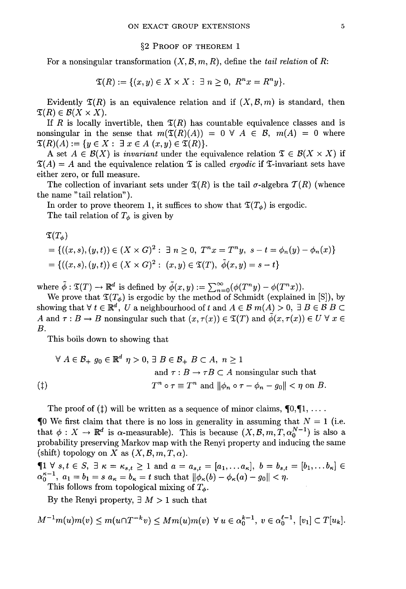#### §2 PROOF OF THEOREM 1

For a nonsingular transformation  $(X, \mathcal{B}, m, R)$ , define the *tail* relation of R:

$$
\mathfrak{T}(R) := \{(x, y) \in X \times X : \exists n \geq 0, R^n x = R^n y\}.
$$

Evidently  $\mathfrak{T}(R)$  is an equivalence relation and if  $(X, \mathcal{B}, m)$  is standard, then  $\mathfrak{T}(R) \in \mathcal{B}(X \times X).$ 

If *R* is locally invertible, then  $\mathfrak{T}(R)$  has countable equivalence classes and is If *R* is locally invertible, then  $\mathfrak{T}(R)$  has countable equivalence classes and is nonsingular in the sense that  $m(\mathfrak{T}(R)(A)) = 0 \forall A \in \mathcal{B}$ ,  $m(A) = 0$  where  $\mathfrak{T}(R)(A) := \{ y \in X : \exists x \in A \ (x, y) \in \mathfrak{T}(R) \}.$ 

A set  $A \in \mathcal{B}(X)$  is *invariant* under the equivalence relation  $\mathfrak{T} \in \mathcal{B}(X \times X)$  if  $\mathfrak{T}(A) = A$  and the equivalence relation  $\mathfrak T$  is called *ergodic* if  $\mathfrak T$ -invariant sets have either zero, or full measure.

The collection of invariant sets under  $\mathfrak{T}(R)$  is the tail  $\sigma$ -algebra  $\mathcal{T}(R)$  (whence the name" tail relation").

In order to prove theorem 1, it suffices to show that  $\mathfrak{T}(T_{\phi})$  is ergodic. The tail relation of  $T_{\phi}$  is given by

$$
\mathfrak{T}(T_{\phi})
$$
\n
$$
= \{((x, s), (y, t)) \in (X \times G)^2 : \exists n \ge 0, T^n x = T^n y, s - t = \phi_n(y) - \phi_n(x)\}
$$
\n
$$
= \{((x, s), (y, t)) \in (X \times G)^2 : (x, y) \in \mathfrak{T}(T), \tilde{\phi}(x, y) = s - t\}
$$

where  $\tilde{\phi}: \mathfrak{T}(T) \to \mathbb{R}^d$  is defined by  $\tilde{\phi}(x, y) := \sum_{n=0}^{\infty} (\phi(T^n y) - \phi(T^n x)).$ 

We prove that  $\mathfrak{T}(T_{\phi})$  is ergodic by the method of Schmidt (explained in [S]), by showing that  $\forall t \in \mathbb{R}^d$ , U a neighbourhood of t and  $A \in \mathcal{B}$  m(A)  $> 0$ ,  $\exists B \in \mathcal{B}$  B *A* and  $\tau : B \to B$  nonsingular such that  $(x, \tau(x)) \in \mathfrak{T}(T)$  and  $\phi(x, \tau(x)) \in U \forall x \in$ *B.*

This boils down to showing that

$$
\forall A \in \mathcal{B}_+ \ g_0 \in \mathbb{R}^d \ \eta > 0, \ \exists \ B \in \mathcal{B}_+ \ B \subset A, \ n \ge 1
$$
\n
$$
\text{and } \tau : B \to \tau B \subset A \text{ nonsingular such that}
$$
\n
$$
(1)
$$
\n
$$
T^n \circ \tau \equiv T^n \text{ and } \|\phi_n \circ \tau - \phi_n - g_0\| < \eta \text{ on } B.
$$

The proof of ( $\ddagger$ ) will be written as a sequence of minor claims,  $\mathbb{I}^{0,\mathbb{I}^{1},\ldots}$ .

 $\Box$  We first claim that there is no loss in generality in assuming that  $N = 1$  (i.e. that  $\phi: X \to \mathbb{R}^d$  is  $\alpha$ -measurable). This is because  $(X, \mathcal{B}, m, T, \alpha_0^{N-1})$  is also a probability preserving Markov map with the Renyi property and inducing the same

(shift) topology on X as  $(X, \mathcal{B}, m, T, \alpha)$ .<br>  $\P$ 1  $\forall$   $s, t \in S$ ,  $\exists \kappa = \kappa_{s,t} \ge 1$  and  $a = a_{s,t} = [a_1, \ldots a_{\kappa}], b = b_{s,t} = [b_1, \ldots b_{\kappa}] \in$  $\alpha_0^{\kappa-1}, \ a_1 = b_1 = s \ a_\kappa = b_\kappa = t \text{ such that } ||\phi_\kappa(b) - \phi_\kappa(a) - g_0|| < \eta.$ This follows from topological mixing of  $T_{\phi}$ .

By the Renyi property,  $\exists M > 1$  such that

$$
M^{-1}m(u)m(v) \le m(u \cap T^{-k}v) \le Mm(u)m(v) \ \forall u \in \alpha_0^{k-1}, \ v \in \alpha_0^{\ell-1}, \ [v_1] \subset T[u_k].
$$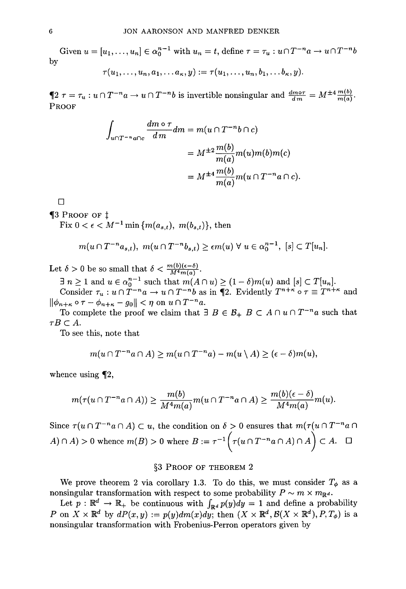Given  $u = [u_1, \ldots, u_n] \in \alpha_0^{n-1}$  with  $u_n = t$ , define  $\tau = \tau_u : u \cap T^{-n}a \to u \cap T^{-n}b$ by

$$
\tau(u_1,\ldots,u_n,a_1,\ldots a_{\kappa},y):=\tau(u_1,\ldots,u_n,b_1,\ldots b_{\kappa},y).
$$

 $\oint 2 \tau = \tau_u : u \cap T^{-n}a \to u \cap T^{-n}b$  is invertible nonsingular and  $\frac{dm \circ \tau}{dm} = M^{\pm 4} \frac{m(b)}{m(a)}$ . PROOF

$$
\int_{u \cap T^{-n}a \cap c} \frac{dm \circ \tau}{dm} dm = m(u \cap T^{-n}b \cap c)
$$

$$
= M^{\pm 2} \frac{m(b)}{m(a)} m(u) m(b) m(c)
$$

$$
= M^{\pm 4} \frac{m(b)}{m(a)} m(u \cap T^{-n}a \cap c).
$$

 $\Box$ 

**¶3 PROOF OF**  $\ddagger$ 

Fix  $0 < \epsilon < M^{-1} \min \{m(a_{s,t}), m(b_{s,t})\},\$  then

$$
m(u\cap T^{-n}a_{s,t}), m(u\cap T^{-n}b_{s,t})\geq \epsilon m(u)\ \forall\ u\in \alpha_0^{n-1},\ [s]\subset T[u_n].
$$

Let  $\delta > 0$  be so small that  $\delta < \frac{m(b)(\epsilon - \delta)}{M^4 m(a)}$ .

 $\exists n \geq 1$  and  $u \in \alpha_0^{n-1}$  such that  $m(A \cap u) \geq (1 - \delta)m(u)$  and  $[s] \subset T[u_n]$ .<br>Consider  $\tau_u : u \cap T^{-n}a \to u \cap T^{-n}b$  as in  $\P_2$ . Evidently  $T^{n+\kappa} \circ \tau \equiv T^{n+\kappa}$  and  $\|\phi_{n+\kappa} \circ \tau - \phi_{n+\kappa} - g_0\| < \eta \text{ on } u \cap T^{-n}a.$ 

To complete the proof we claim that  $\exists B \in \mathcal{B}_+$   $B \subset A \cap u \cap T^{-n}a$  such that  $\tau B \subset A$ .

To see this, note that

$$
m(u \cap T^{-n}a \cap A) \ge m(u \cap T^{-n}a) - m(u \setminus A) \ge (\epsilon - \delta)m(u),
$$

whence using  $\P$ 2,

$$
m(\tau(u \cap T^{-n}a \cap A)) \ge \frac{m(b)}{M^4 m(a)} m(u \cap T^{-n}a \cap A) \ge \frac{m(b)(\epsilon - \delta)}{M^4 m(a)} m(u).
$$

Since  $\tau(u \cap T^{-n}a \cap A) \subset u$ , the condition on  $\delta > 0$  ensures that  $m(\tau(u \cap T^{-n}a \cap A))$  $A) \cap A$  > 0 whence  $m(B) > 0$  where  $B := \tau^{-1} \left( \tau(u \cap T^{-n}a \cap A) \cap A \right) \subset A$ .  $\square$ 

# §3 PROOF OF THEOREM 2

We prove theorem 2 via corollary 1.3. To do this, we must consider  $T_{\phi}$  as a nonsingular transformation with respect to some probability  $P \sim m \times m_{\mathbb{R}^d}$ .

Let  $p : \mathbb{R}^d \to \mathbb{R}_+$  be continuous with  $\int_{\mathbb{R}^d} p(y) dy = 1$  and define a probability *P* on  $X \times \mathbb{R}^d$  by  $dP(x, y) := p(y)dm(x)dy$ ; then  $(X \times \mathbb{R}^d, \mathcal{B}(X \times \mathbb{R}^d), P, T_\phi)$  is a nonsingular transformation with Frobenius-Perron operators given by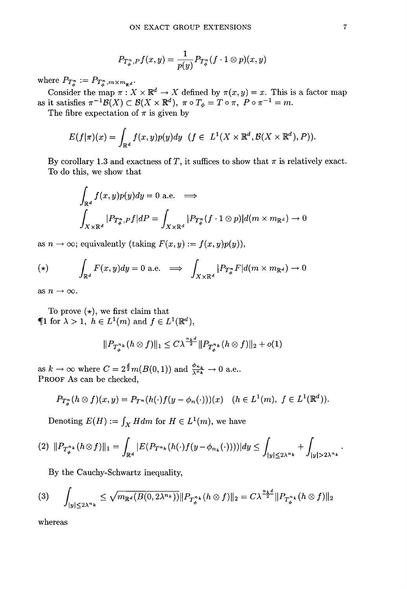$$
P_{T_{\phi}^n,P}f(x,y)=\frac{1}{p(y)}P_{T_{\phi}^n}(f\cdot 1\otimes p)(x,y)
$$

 $\text{where} \ \ P_{T^n_{\phi}} := P_{T^n_{\phi}, m \times m_{\mathbb{R}^d}}.$ 

Consider the map  $\pi : X \times \mathbb{R}^d \to X$  defined by  $\pi(x, y) = x$ . This is a factor map as it satisfies  $\pi^{-1} \mathcal{B}(X) \subset \mathcal{B}(X \times \mathbb{R}^d)$ ,  $\pi \circ T_{\phi} = T \circ \pi$ ,  $P \circ \pi^{-1} = m$ .

The fibre expectation of  $\pi$  is given by

$$
E(f|\pi)(x) = \int_{\mathbb{R}^d} f(x, y)p(y)dy \quad (f \in L^1(X \times \mathbb{R}^d, \mathcal{B}(X \times \mathbb{R}^d), P)).
$$

By corollary 1.3 and exactness of T, it suffices to show that  $\pi$  is relatively exact. To do this, we show that

$$
\int_{\mathbb{R}^d} f(x, y)p(y)dy = 0 \text{ a.e. } \implies
$$
\n
$$
\int_{X \times \mathbb{R}^d} |P_{T_{\phi}^n, P}f|dP = \int_{X \times \mathbb{R}^d} |P_{T_{\phi}^n}(f \cdot 1 \otimes p)|d(m \times m_{\mathbb{R}^d}) \to 0
$$

as  $n \to \infty$ ; equivalently (taking  $F(x, y) := f(x, y)p(y)$ ),

(\*) 
$$
\int_{\mathbb{R}^d} F(x, y) dy = 0 \text{ a.e.} \implies \int_{X \times \mathbb{R}^d} |P_{T_{\phi}^n} F| d(m \times m_{\mathbb{R}^d}) \to 0
$$

as  $n \to \infty$ .

To prove  $(\star)$ , we first claim that  $\P1$  for  $\lambda > 1$ ,  $h \in L^1(m)$  and  $f \in L^1(\mathbb{R}^d)$ ,

$$
||P_{T_{\phi}^{n_k}}(h\otimes f)||_1 \leq C\lambda^{\frac{n_k d}{2}} ||P_{T_{\phi}^{n_k}}(h\otimes f)||_2 + o(1)
$$

as  $k \to \infty$  where  $C = 2^{\frac{d}{2}} m(B(0, 1))$  and  $\frac{\phi_{n_k}}{\lambda^{n_k}} \to 0$  a.e.. PROOF As can be checked,

$$
P_{T_{\phi}^n}(h \otimes f)(x, y) = P_{T^n}(h(\cdot)f(y - \phi_n(\cdot))) (x) \quad (h \in L^1(m), \ f \in L^1(\mathbb{R}^d)).
$$

Denoting  $E(H) := \int_X H dm$  for  $H \in L^1(m)$ , we have

$$
(2) \ \Vert P_{T_{\phi}^{n_{k}}}(h \otimes f) \Vert_{1} = \int_{\mathbb{R}^{d}} |E(P_{T^{n_{k}}}(h(\cdot)f(y - \phi_{n_{k}}(\cdot))))| dy \leq \int_{|y| \leq 2\lambda^{n_{k}}} + \int_{|y| > 2\lambda^{n_{k}}}
$$

By the Cauchy-Schwartz inequality,

$$
(3) \qquad \int_{|y| \le 2\lambda^{n_k}} \le \sqrt{m_{\mathbb{R}^d}(B(0, 2\lambda^{n_k}))} \|P_{T_{\phi}^{n_k}}(h \otimes f)\|_2 = C\lambda^{\frac{n_k d}{2}} \|P_{T_{\phi}^{n_k}}(h \otimes f)\|_2
$$

whereas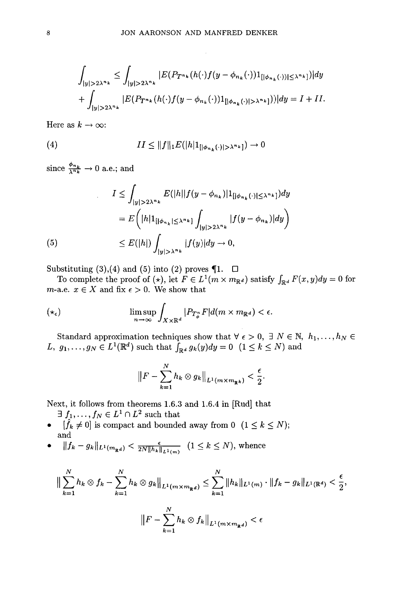$$
\int_{|y|>2\lambda^{n_k}} \leq \int_{|y|>2\lambda^{n_k}} |E(P_{T^{n_k}}(h(\cdot)f(y-\phi_{n_k}(\cdot))1_{[|\phi_{n_k}(\cdot))|\leq \lambda^{n_k}]})|dy
$$
  
+ 
$$
\int_{|y|>2\lambda^{n_k}} |E(P_{T^{n_k}}(h(\cdot)f(y-\phi_{n_k}(\cdot))1_{[|\phi_{n_k}(\cdot)|>\lambda^{n_k}]}))|dy = I + II.
$$

Here as  $k \to \infty$ :

(4) 
$$
II \leq ||f||_1 E(|h| \mathbb{1}_{[|\phi_{n_k}(\cdot)| > \lambda^{n_k}]}) \to 0
$$

since  $\frac{\phi_{n_k}}{\lambda^{n_k}} \to 0$  a.e.; and

$$
I \leq \int_{|y| > 2\lambda^{n_k}} E(|h||f(y - \phi_{n_k})|1_{[|\phi_{n_k}(\cdot)| \leq \lambda^{n_k}]}) dy
$$
  

$$
= E\left(|h|1_{[|\phi_{n_k}| \leq \lambda^{n_k}]} \int_{|y| > 2\lambda^{n_k}} |f(y - \phi_{n_k})| dy\right)
$$
  
(5)  

$$
\leq E(|h|) \int_{|y| > \lambda^{n_k}} |f(y)| dy \to 0,
$$

Substituting (3), (4) and (5) into (2) proves  $\P$ 1.  $\Box$ 

To complete the proof of (\*), let  $F \in L^1(m \times m_{\mathbb{R}^d})$  satisfy  $\int_{\mathbb{R}^d} F(x,y) dy = 0$  for *m*-a.e.  $x \in X$  and fix  $\epsilon > 0$ . We show that

$$
(\star_{\epsilon}) \qquad \limsup_{n \to \infty} \int_{X \times \mathbb{R}^d} |P_{T^n_{\phi}} F| d(m \times m_{\mathbb{R}^d}) < \epsilon.
$$

Standard approximation techniques show that  $\forall \epsilon > 0, \exists N \in \mathbb{N}, h_1, \ldots, h_N \in$  $L, g_1, \ldots, g_N \in L^1(\mathbb{R}^d) \text{ such that } \overline{\int_{\mathbb{R}^d} g_k(y) dy} = 0 \text{ } (1 \leq k \leq N) \text{ and }$ 

$$
\left\|F-\sum_{k=1}^N h_k\otimes g_k\right\|_{L^1(m\times m_{\mathbb{R}^k})}<\frac{\epsilon}{2}.
$$

Next, it follows from theorems 1.6.3 and 1.6.4 in [Rud] that

- $\exists f_1, \ldots, f_N \in L^1 \cap L^2$  such that
- $[\hat{f}_k \neq 0]$  is compact and bounded away from 0  $(1 \leq k \leq N);$ and
- $||f_k g_k||_{L^1(m_{\mathbb{R}^d})} \leq \frac{\epsilon}{2N ||h_k||_{L^1(m)}} \quad (1 \leq k \leq N)$ , whence

$$
\Big\| \sum_{k=1}^{N} h_k \otimes f_k - \sum_{k=1}^{N} h_k \otimes g_k \Big\|_{L^1(m \times m_{\mathbb{R}^d})} \leq \sum_{k=1}^{N} \|h_k\|_{L^1(m)} \cdot \|f_k - g_k\|_{L^1(\mathbb{R}^d)} < \frac{\epsilon}{2},
$$
\n
$$
\Big\| F - \sum_{k=1}^{N} h_k \otimes f_k \Big\|_{L^1(m \times m_{\mathbb{R}^d})} < \epsilon
$$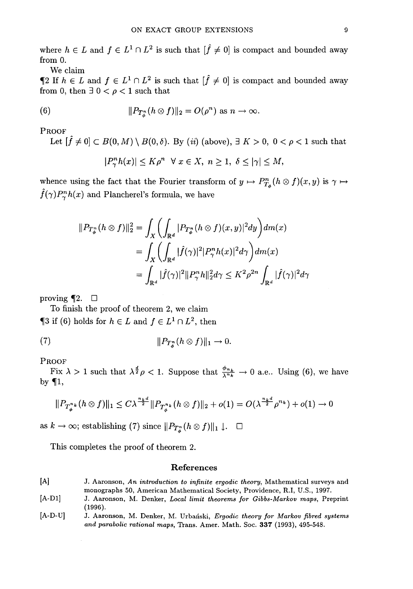where  $h \in L$  and  $f \in L^1 \cap L^2$  is such that  $[\hat{f} \neq 0]$  is compact and bounded away from O.

We claim<br> **'**2 If  $h \in L$  and  $f \in L^1 \cap L^2$  is such that  $[\hat{f} \neq 0]$  is compact and bounded away from 0, then  $\exists$  0 <  $\rho$  < 1 such that

(6) 
$$
||P_{T^n_{\phi}}(h \otimes f)||_2 = O(\rho^n) \text{ as } n \to \infty.
$$

PROOF

Let  $[\hat{f} \neq 0] \subset B(0, M) \setminus B(0, \delta)$ . By *(ii)* (above),  $\exists K > 0$ ,  $0 < \rho < 1$  such that  $|P_{\gamma}^n h(x)| \leq K\rho^n \quad \forall \; x \in X, \; n \geq 1, \; \delta \leq |\gamma| \leq M,$ 

whence using the fact that the Fourier transform of  $y \mapsto P_{T_a}^n(h \otimes f)(x, y)$  is  $\gamma \mapsto$  $\hat{f}(\gamma)P_{\gamma}^n h(x)$  and Plancherel's formula, we have

$$
||P_{T_{\phi}^n}(h \otimes f)||_2^2 = \int_X \left( \int_{\mathbb{R}^d} |P_{T_{\phi}^n}(h \otimes f)(x, y)|^2 dy \right) dm(x)
$$
  
= 
$$
\int_X \left( \int_{\mathbb{R}^d} |\hat{f}(\gamma)|^2 |P_{\gamma}^n h(x)|^2 d\gamma \right) dm(x)
$$
  
= 
$$
\int_{\mathbb{R}^d} |\hat{f}(\gamma)|^2 ||P_{\gamma}^n h||_2^2 d\gamma \leq K^2 \rho^{2n} \int_{\mathbb{R}^d} |\hat{f}(\gamma)|^2 d\gamma
$$

proving  $\P$ 2.  $\Box$ 

To finish the proof of theorem 2, we claim  $\P$ 3 if (6) holds for  $h \in L$  and  $f \in L^1 \cap L^2$ , then

$$
||P_{T^n_{\delta}}(h\otimes f)||_1 \to 0.
$$

PROOF

Fix  $\lambda > 1$  such that  $\lambda^{\frac{d}{2}} \rho < 1$ . Suppose that  $\frac{\phi_{n_k}}{\lambda^{n_k}} \to 0$  a.e.. Using (6), we have by  $\P1$ ,

$$
||P_{T_{\phi}^{n_k}}(h \otimes f)||_1 \leq C\lambda^{\frac{n_k d}{2}} ||P_{T_{\phi}^{n_k}}(h \otimes f)||_2 + o(1) = O(\lambda^{\frac{n_k d}{2}}\rho^{n_k}) + o(1) \to 0
$$

as  $k \to \infty$ ; establishing (7) since  $||P_{T_{\alpha}^n}(h \otimes f)||_1 \downarrow$ .  $\square$ 

This completes the proof of theorem 2.

#### **References**

- [A] J. Aaronson, *An introduction to infinite ergodic theory,* Mathematical surveys and monographs 50, American Mathematical Society, Providence, R.I, U.S., 1997.
- [A-Dl] J. Aaronson, M. Denker, *Local limit theorems for Gibbs-Markov maps,* Preprint (1996).
- [A-D-U] J. Aaronson, M. Denker, M. Urbanski, *Ergodic theory for Markov fibred systems and parabolic rational maps,* Trans. Amer. Math. Soc. **337** (1993), 495-548.